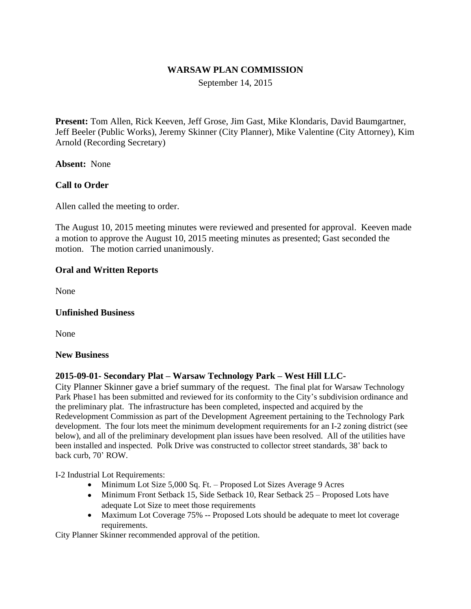### **WARSAW PLAN COMMISSION**

September 14, 2015

**Present:** Tom Allen, Rick Keeven, Jeff Grose, Jim Gast, Mike Klondaris, David Baumgartner, Jeff Beeler (Public Works), Jeremy Skinner (City Planner), Mike Valentine (City Attorney), Kim Arnold (Recording Secretary)

**Absent:** None

## **Call to Order**

Allen called the meeting to order.

The August 10, 2015 meeting minutes were reviewed and presented for approval. Keeven made a motion to approve the August 10, 2015 meeting minutes as presented; Gast seconded the motion. The motion carried unanimously.

#### **Oral and Written Reports**

None

#### **Unfinished Business**

None

#### **New Business**

#### **2015-09-01- Secondary Plat – Warsaw Technology Park – West Hill LLC-**

City Planner Skinner gave a brief summary of the request. The final plat for Warsaw Technology Park Phase1 has been submitted and reviewed for its conformity to the City's subdivision ordinance and the preliminary plat. The infrastructure has been completed, inspected and acquired by the Redevelopment Commission as part of the Development Agreement pertaining to the Technology Park development. The four lots meet the minimum development requirements for an I-2 zoning district (see below), and all of the preliminary development plan issues have been resolved. All of the utilities have been installed and inspected. Polk Drive was constructed to collector street standards, 38' back to back curb, 70' ROW.

I-2 Industrial Lot Requirements:

- Minimum Lot Size 5,000 Sq. Ft. Proposed Lot Sizes Average 9 Acres
- Minimum Front Setback 15, Side Setback 10, Rear Setback 25 Proposed Lots have adequate Lot Size to meet those requirements
- Maximum Lot Coverage 75% -- Proposed Lots should be adequate to meet lot coverage requirements.

City Planner Skinner recommended approval of the petition.